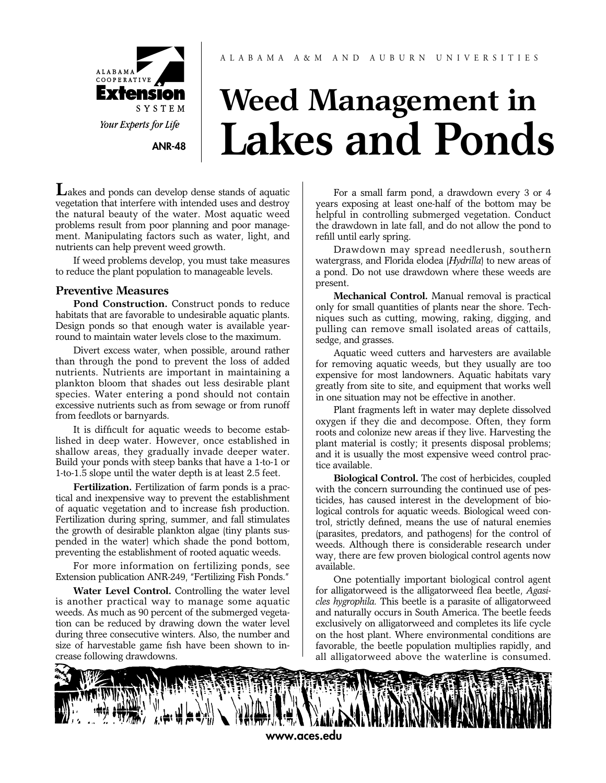

**[ANR-48](http://www.aces.edu/)**

# **Weed Management in Lakes and Ponds**

**L**akes and ponds can develop dense stands of aquatic vegetation that interfere with intended uses and destroy the natural beauty of the water. Most aquatic weed problems result from poor planning and poor management. Manipulating factors such as water, light, and nutrients can help prevent weed growth.

If weed problems develop, you must take measures to reduce the plant population to manageable levels.

# **Preventive Measures**

**Pond Construction.** Construct ponds to reduce habitats that are favorable to undesirable aquatic plants. Design ponds so that enough water is available yearround to maintain water levels close to the maximum.

Divert excess water, when possible, around rather than through the pond to prevent the loss of added nutrients. Nutrients are important in maintaining a plankton bloom that shades out less desirable plant species. Water entering a pond should not contain excessive nutrients such as from sewage or from runoff from feedlots or barnyards.

It is difficult for aquatic weeds to become established in deep water. However, once established in shallow areas, they gradually invade deeper water. Build your ponds with steep banks that have a 1-to-1 or 1-to-1.5 slope until the water depth is at least 2.5 feet.

**Fertilization.** Fertilization of farm ponds is a practical and inexpensive way to prevent the establishment of aquatic vegetation and to increase fish production. Fertilization during spring, summer, and fall stimulates the growth of desirable plankton algae (tiny plants suspended in the water) which shade the pond bottom, preventing the establishment of rooted aquatic weeds.

For more information on fertilizing ponds, see Extension publication ANR-249, "Fertilizing Fish Ponds."

**Water Level Control.** Controlling the water level is another practical way to manage some aquatic weeds. As much as 90 percent of the submerged vegetation can be reduced by drawing down the water level during three consecutive winters. Also, the number and size of harvestable game fish have been shown to increase following drawdowns.

For a small farm pond, a drawdown every 3 or 4 years exposing at least one-half of the bottom may be helpful in controlling submerged vegetation. Conduct the drawdown in late fall, and do not allow the pond to refill until early spring.

Drawdown may spread needlerush, southern watergrass, and Florida elodea (*Hydrilla*) to new areas of a pond. Do not use drawdown where these weeds are present.

**Mechanical Control.** Manual removal is practical only for small quantities of plants near the shore. Techniques such as cutting, mowing, raking, digging, and pulling can remove small isolated areas of cattails, sedge, and grasses.

Aquatic weed cutters and harvesters are available for removing aquatic weeds, but they usually are too expensive for most landowners. Aquatic habitats vary greatly from site to site, and equipment that works well in one situation may not be effective in another.

Plant fragments left in water may deplete dissolved oxygen if they die and decompose. Often, they form roots and colonize new areas if they live. Harvesting the plant material is costly; it presents disposal problems; and it is usually the most expensive weed control practice available.

**Biological Control.** The cost of herbicides, coupled with the concern surrounding the continued use of pesticides, has caused interest in the development of biological controls for aquatic weeds. Biological weed control, strictly defined, means the use of natural enemies (parasites, predators, and pathogens) for the control of weeds. Although there is considerable research under way, there are few proven biological control agents now available.

One potentially important biological control agent for alligatorweed is the alligatorweed flea beetle, *Agasicles hygrophila.* This beetle is a parasite of alligatorweed and naturally occurs in South America. The beetle feeds exclusively on alligatorweed and completes its life cycle on the host plant. Where environmental conditions are favorable, the beetle population multiplies rapidly, and all alligatorweed above the waterline is consumed.

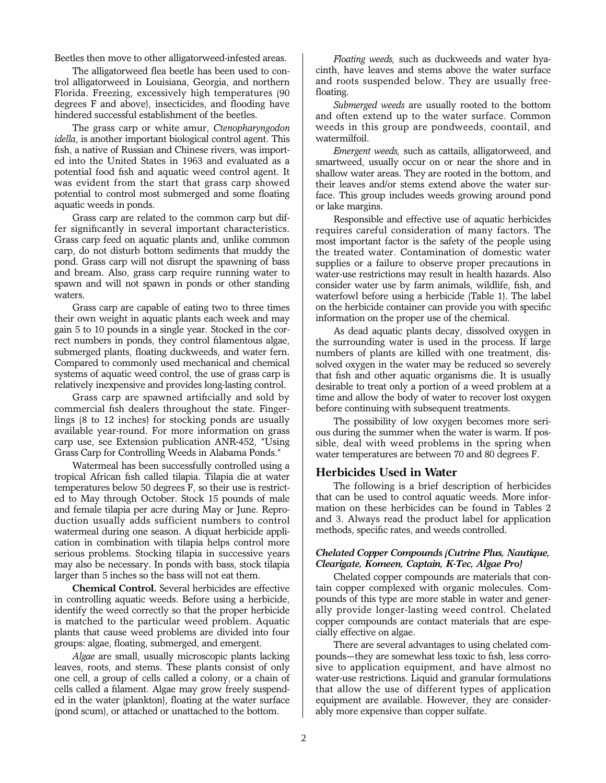Beetles then move to other alligatorweed-infested areas.

The alligatorweed flea beetle has been used to control alligatorweed in Louisiana, Georgia, and northern Florida. Freezing, excessively high temperatures (90 degrees F and above), insecticides, and flooding have hindered successful establishment of the beetles.

The grass carp or white amur, *Ctenopharyngodon idella*, is another important biological control agent. This fish, a native of Russian and Chinese rivers, was imported into the United States in 1963 and evaluated as a potential food fish and aquatic weed control agent. It was evident from the start that grass carp showed potential to control most submerged and some floating aquatic weeds in ponds.

Grass carp are related to the common carp but differ significantly in several important characteristics. Grass carp feed on aquatic plants and, unlike common carp, do not disturb bottom sediments that muddy the pond. Grass carp will not disrupt the spawning of bass and bream. Also, grass carp require running water to spawn and will not spawn in ponds or other standing waters.

Grass carp are capable of eating two to three times their own weight in aquatic plants each week and may gain 5 to 10 pounds in a single year. Stocked in the correct numbers in ponds, they control filamentous algae, submerged plants, floating duckweeds, and water fern. Compared to commonly used mechanical and chemical systems of aquatic weed control, the use of grass carp is relatively inexpensive and provides long-lasting control.

Grass carp are spawned artificially and sold by commercial fish dealers throughout the state. Fingerlings (8 to 12 inches) for stocking ponds are usually available year-round. For more information on grass carp use, see Extension publication ANR-452, "Using Grass Carp for Controlling Weeds in Alabama Ponds."

Watermeal has been successfully controlled using a tropical African fish called tilapia. Tilapia die at water temperatures below 50 degrees F, so their use is restricted to May through October. Stock 15 pounds of male and female tilapia per acre during May or June. Reproduction usually adds sufficient numbers to control watermeal during one season. A diquat herbicide application in combination with tilapia helps control more serious problems. Stocking tilapia in successive years may also be necessary. In ponds with bass, stock tilapia larger than 5 inches so the bass will not eat them.

**Chemical Control.** Several herbicides are effective in controlling aquatic weeds. Before using a herbicide, identify the weed correctly so that the proper herbicide is matched to the particular weed problem. Aquatic plants that cause weed problems are divided into four groups: algae, floating, submerged, and emergent.

*Algae* are small, usually microscopic plants lacking leaves, roots, and stems. These plants consist of only one cell, a group of cells called a colony, or a chain of cells called a filament. Algae may grow freely suspended in the water (plankton), floating at the water surface (pond scum), or attached or unattached to the bottom.

*Floating weeds,* such as duckweeds and water hyacinth, have leaves and stems above the water surface and roots suspended below. They are usually freefloating.

*Submerged weeds* are usually rooted to the bottom and often extend up to the water surface. Common weeds in this group are pondweeds, coontail, and watermilfoil.

*Emergent weeds,* such as cattails, alligatorweed, and smartweed, usually occur on or near the shore and in shallow water areas. They are rooted in the bottom, and their leaves and/or stems extend above the water surface. This group includes weeds growing around pond or lake margins.

Responsible and effective use of aquatic herbicides requires careful consideration of many factors. The most important factor is the safety of the people using the treated water. Contamination of domestic water supplies or a failure to observe proper precautions in water-use restrictions may result in health hazards. Also consider water use by farm animals, wildlife, fish, and waterfowl before using a herbicide (Table 1). The label on the herbicide container can provide you with specific information on the proper use of the chemical.

As dead aquatic plants decay, dissolved oxygen in the surrounding water is used in the process. If large numbers of plants are killed with one treatment, dissolved oxygen in the water may be reduced so severely that fish and other aquatic organisms die. It is usually desirable to treat only a portion of a weed problem at a time and allow the body of water to recover lost oxygen before continuing with subsequent treatments.

The possibility of low oxygen becomes more serious during the summer when the water is warm. If possible, deal with weed problems in the spring when water temperatures are between 70 and 80 degrees F.

#### **Herbicides Used in Water**

The following is a brief description of herbicides that can be used to control aquatic weeds. More information on these herbicides can be found in Tables 2 and 3. Always read the product label for application methods, specific rates, and weeds controlled.

#### *Chelated Copper Compounds (Cutrine Plus, Nautique, Clearigate, Komeen, Captain, K-Tec, Algae Pro)*

Chelated copper compounds are materials that contain copper complexed with organic molecules. Compounds of this type are more stable in water and generally provide longer-lasting weed control. Chelated copper compounds are contact materials that are especially effective on algae.

There are several advantages to using chelated compounds—they are somewhat less toxic to fish, less corrosive to application equipment, and have almost no water-use restrictions. Liquid and granular formulations that allow the use of different types of application equipment are available. However, they are considerably more expensive than copper sulfate.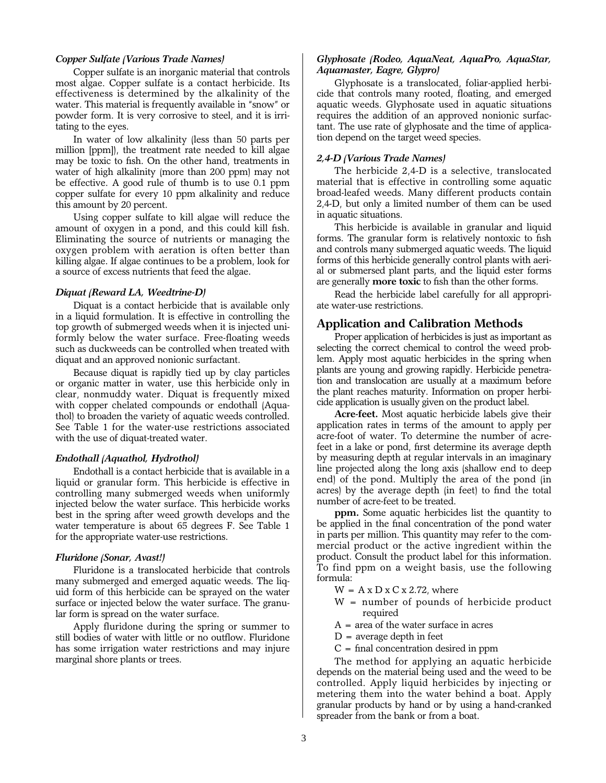#### *Copper Sulfate (Various Trade Names)*

Copper sulfate is an inorganic material that controls most algae. Copper sulfate is a contact herbicide. Its effectiveness is determined by the alkalinity of the water. This material is frequently available in "snow" or powder form. It is very corrosive to steel, and it is irritating to the eyes.

In water of low alkalinity (less than 50 parts per million [ppm]), the treatment rate needed to kill algae may be toxic to fish. On the other hand, treatments in water of high alkalinity (more than 200 ppm) may not be effective. A good rule of thumb is to use 0.1 ppm copper sulfate for every 10 ppm alkalinity and reduce this amount by 20 percent.

Using copper sulfate to kill algae will reduce the amount of oxygen in a pond, and this could kill fish. Eliminating the source of nutrients or managing the oxygen problem with aeration is often better than killing algae. If algae continues to be a problem, look for a source of excess nutrients that feed the algae.

#### *Diquat (Reward LA, Weedtrine-D)*

Diquat is a contact herbicide that is available only in a liquid formulation. It is effective in controlling the top growth of submerged weeds when it is injected uniformly below the water surface. Free-floating weeds such as duckweeds can be controlled when treated with diquat and an approved nonionic surfactant.

Because diquat is rapidly tied up by clay particles or organic matter in water, use this herbicide only in clear, nonmuddy water. Diquat is frequently mixed with copper chelated compounds or endothall (Aquathol) to broaden the variety of aquatic weeds controlled. See Table 1 for the water-use restrictions associated with the use of diquat-treated water.

#### *Endothall (Aquathol, Hydrothol)*

Endothall is a contact herbicide that is available in a liquid or granular form. This herbicide is effective in controlling many submerged weeds when uniformly injected below the water surface. This herbicide works best in the spring after weed growth develops and the water temperature is about 65 degrees F. See Table 1 for the appropriate water-use restrictions.

#### *Fluridone (Sonar, Avast!)*

Fluridone is a translocated herbicide that controls many submerged and emerged aquatic weeds. The liquid form of this herbicide can be sprayed on the water surface or injected below the water surface. The granular form is spread on the water surface.

Apply fluridone during the spring or summer to still bodies of water with little or no outflow. Fluridone has some irrigation water restrictions and may injure marginal shore plants or trees.

#### *Glyphosate (Rodeo, AquaNeat, AquaPro, AquaStar, Aquamaster, Eagre, Glypro)*

Glyphosate is a translocated, foliar-applied herbicide that controls many rooted, floating, and emerged aquatic weeds. Glyphosate used in aquatic situations requires the addition of an approved nonionic surfactant. The use rate of glyphosate and the time of application depend on the target weed species.

#### *2,4-D (Various Trade Names)*

The herbicide 2,4-D is a selective, translocated material that is effective in controlling some aquatic broad-leafed weeds. Many different products contain 2,4-D, but only a limited number of them can be used in aquatic situations.

This herbicide is available in granular and liquid forms. The granular form is relatively nontoxic to fish and controls many submerged aquatic weeds. The liquid forms of this herbicide generally control plants with aerial or submersed plant parts, and the liquid ester forms are generally **more toxic** to fish than the other forms.

Read the herbicide label carefully for all appropriate water-use restrictions.

### **Application and Calibration Methods**

Proper application of herbicides is just as important as selecting the correct chemical to control the weed problem. Apply most aquatic herbicides in the spring when plants are young and growing rapidly. Herbicide penetration and translocation are usually at a maximum before the plant reaches maturity. Information on proper herbicide application is usually given on the product label.

**Acre-feet.** Most aquatic herbicide labels give their application rates in terms of the amount to apply per acre-foot of water. To determine the number of acrefeet in a lake or pond, first determine its average depth by measuring depth at regular intervals in an imaginary line projected along the long axis (shallow end to deep end) of the pond. Multiply the area of the pond (in acres) by the average depth (in feet) to find the total number of acre-feet to be treated.

**ppm.** Some aquatic herbicides list the quantity to be applied in the final concentration of the pond water in parts per million. This quantity may refer to the commercial product or the active ingredient within the product. Consult the product label for this information. To find ppm on a weight basis, use the following formula:

- $W = A x D x C x 2.72$ , where
- W = number of pounds of herbicide product required
- $A = \text{area of the water surface in acres}$
- $D$  = average depth in feet
- $C = final concentration desired in ppm$

The method for applying an aquatic herbicide depends on the material being used and the weed to be controlled. Apply liquid herbicides by injecting or metering them into the water behind a boat. Apply granular products by hand or by using a hand-cranked spreader from the bank or from a boat.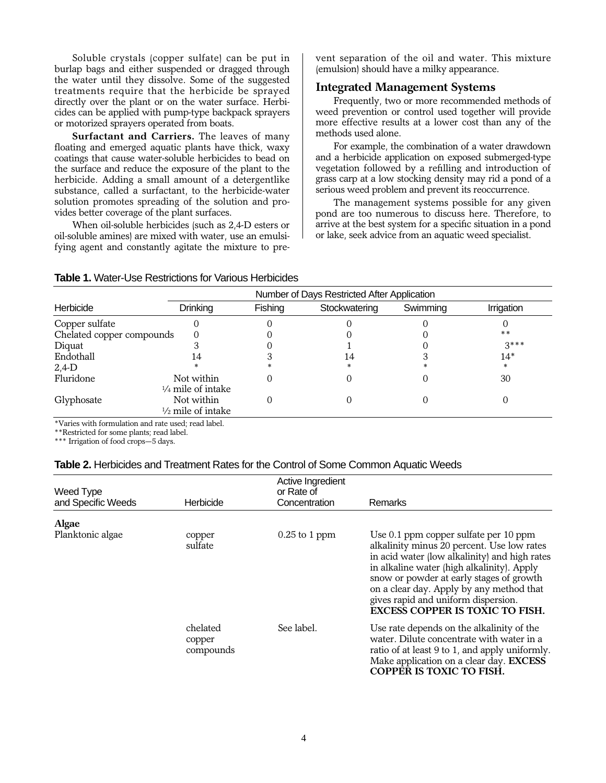Soluble crystals (copper sulfate) can be put in burlap bags and either suspended or dragged through the water until they dissolve. Some of the suggested treatments require that the herbicide be sprayed directly over the plant or on the water surface. Herbicides can be applied with pump-type backpack sprayers or motorized sprayers operated from boats.

**Surfactant and Carriers.** The leaves of many floating and emerged aquatic plants have thick, waxy coatings that cause water-soluble herbicides to bead on the surface and reduce the exposure of the plant to the herbicide. Adding a small amount of a detergentlike substance, called a surfactant, to the herbicide-water solution promotes spreading of the solution and provides better coverage of the plant surfaces.

When oil-soluble herbicides (such as 2,4-D esters or oil-soluble amines) are mixed with water, use an emulsifying agent and constantly agitate the mixture to prevent separation of the oil and water. This mixture (emulsion) should have a milky appearance.

## **Integrated Management Systems**

Frequently, two or more recommended methods of weed prevention or control used together will provide more effective results at a lower cost than any of the methods used alone.

For example, the combination of a water drawdown and a herbicide application on exposed submerged-type vegetation followed by a refilling and introduction of grass carp at a low stocking density may rid a pond of a serious weed problem and prevent its reoccurrence.

The management systems possible for any given pond are too numerous to discuss here. Therefore, to arrive at the best system for a specific situation in a pond or lake, seek advice from an aquatic weed specialist.

## **Table 1.** Water-Use Restrictions for Various Herbicides

|                           |                                            | Number of Days Restricted After Application |               |          |            |  |
|---------------------------|--------------------------------------------|---------------------------------------------|---------------|----------|------------|--|
| Herbicide                 | <b>Drinking</b>                            | Fishing                                     | Stockwatering | Swimming | Irrigation |  |
| Copper sulfate            |                                            |                                             |               |          |            |  |
| Chelated copper compounds |                                            |                                             |               |          | $* *$      |  |
| Diquat                    |                                            |                                             |               |          | $3***$     |  |
| Endothall                 | 14                                         |                                             | 14            |          | $14*$      |  |
| $2,4$ -D                  |                                            |                                             | *.            |          | *          |  |
| Fluridone                 | Not within<br>$\frac{1}{4}$ mile of intake |                                             |               |          | 30         |  |
| Glyphosate                | Not within<br>$\frac{1}{2}$ mile of intake |                                             |               |          |            |  |

\*Varies with formulation and rate used; read label.

\*\*Restricted for some plants; read label.

\*\*\* Irrigation of food crops—5 days.

#### **Table 2.** Herbicides and Treatment Rates for the Control of Some Common Aquatic Weeds

| Weed Type<br>and Specific Weeds | Herbicide                       | Active Ingredient<br>or Rate of<br>Concentration | Remarks                                                                                                                                                                                                                                                                                                                                                     |
|---------------------------------|---------------------------------|--------------------------------------------------|-------------------------------------------------------------------------------------------------------------------------------------------------------------------------------------------------------------------------------------------------------------------------------------------------------------------------------------------------------------|
|                                 |                                 |                                                  |                                                                                                                                                                                                                                                                                                                                                             |
| Algae<br>Planktonic algae       | copper<br>sulfate               | $0.25$ to 1 ppm                                  | Use 0.1 ppm copper sulfate per 10 ppm<br>alkalinity minus 20 percent. Use low rates<br>in acid water (low alkalinity) and high rates<br>in alkaline water (high alkalinity). Apply<br>snow or powder at early stages of growth<br>on a clear day. Apply by any method that<br>gives rapid and uniform dispersion.<br><b>EXCESS COPPER IS TOXIC TO FISH.</b> |
|                                 | chelated<br>copper<br>compounds | See label.                                       | Use rate depends on the alkalinity of the<br>water. Dilute concentrate with water in a<br>ratio of at least 9 to 1, and apply uniformly.<br>Make application on a clear day. EXCESS<br><b>COPPER IS TOXIC TO FISH.</b>                                                                                                                                      |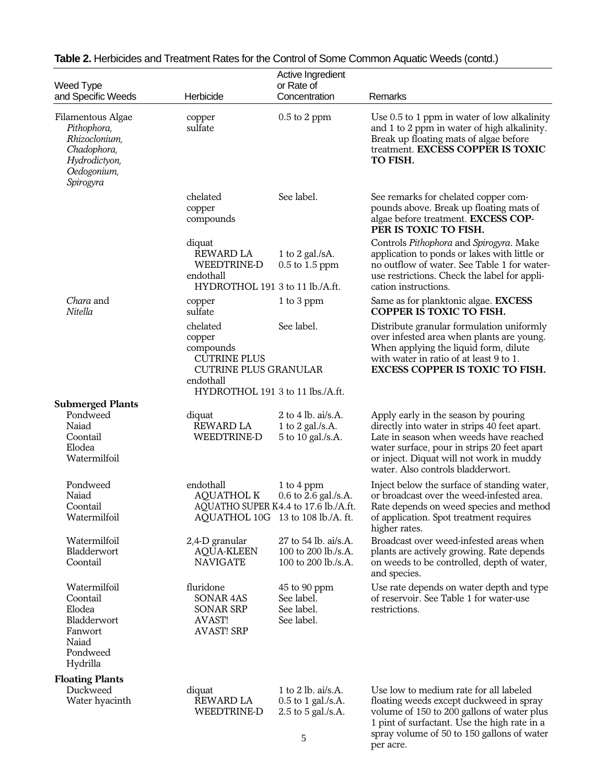|                                                                                                               |                                                                                                                                         | Active Ingredient                                                  |                                                                                                                                                                                                                                                                |
|---------------------------------------------------------------------------------------------------------------|-----------------------------------------------------------------------------------------------------------------------------------------|--------------------------------------------------------------------|----------------------------------------------------------------------------------------------------------------------------------------------------------------------------------------------------------------------------------------------------------------|
| Weed Type                                                                                                     | Herbicide                                                                                                                               | or Rate of<br>Concentration                                        | Remarks                                                                                                                                                                                                                                                        |
| and Specific Weeds                                                                                            |                                                                                                                                         |                                                                    |                                                                                                                                                                                                                                                                |
| Filamentous Algae<br>Pithophora,<br>Rhizoclonium,<br>Chadophora,<br>Hydrodictyon,<br>Oedogonium,<br>Spirogyra | copper<br>sulfate                                                                                                                       | $0.5$ to $2$ ppm                                                   | Use 0.5 to 1 ppm in water of low alkalinity<br>and 1 to 2 ppm in water of high alkalinity.<br>Break up floating mats of algae before<br>treatment. EXCESS COPPER IS TOXIC<br>TO FISH.                                                                          |
|                                                                                                               | chelated<br>copper<br>compounds                                                                                                         | See label.                                                         | See remarks for chelated copper com-<br>pounds above. Break up floating mats of<br>algae before treatment. EXCESS COP-<br>PER IS TOXIC TO FISH.                                                                                                                |
|                                                                                                               | diquat<br>REWARD LA<br>WEEDTRINE-D<br>endothall<br>HYDROTHOL 191 3 to 11 lb./A.ft.                                                      | 1 to 2 gal./sA.<br>$0.5$ to 1.5 ppm                                | Controls Pithophora and Spirogyra. Make<br>application to ponds or lakes with little or<br>no outflow of water. See Table 1 for water-<br>use restrictions. Check the label for appli-<br>cation instructions.                                                 |
| Chara and<br>Nitella                                                                                          | copper<br>sulfate                                                                                                                       | 1 to 3 ppm                                                         | Same as for planktonic algae. EXCESS<br>COPPER IS TOXIC TO FISH.                                                                                                                                                                                               |
|                                                                                                               | chelated<br>copper<br>compounds<br><b>CUTRINE PLUS</b><br><b>CUTRINE PLUS GRANULAR</b><br>endothall<br>HYDROTHOL 191 3 to 11 lbs./A.ft. | See label.                                                         | Distribute granular formulation uniformly<br>over infested area when plants are young.<br>When applying the liquid form, dilute<br>with water in ratio of at least 9 to 1.<br><b>EXCESS COPPER IS TOXIC TO FISH.</b>                                           |
| <b>Submerged Plants</b>                                                                                       |                                                                                                                                         |                                                                    |                                                                                                                                                                                                                                                                |
| Pondweed<br>Naiad<br>Coontail<br>Elodea<br>Watermilfoil                                                       | diquat<br><b>REWARD LA</b><br>WEEDTRINE-D                                                                                               | 2 to 4 lb. ai/s.A.<br>1 to 2 gal./s.A.<br>5 to 10 gal./s.A.        | Apply early in the season by pouring<br>directly into water in strips 40 feet apart.<br>Late in season when weeds have reached<br>water surface, pour in strips 20 feet apart<br>or inject. Diquat will not work in muddy<br>water. Also controls bladderwort. |
| Pondweed<br>Naiad<br>Coontail<br>Watermilfoil                                                                 | endothall<br><b>AQUATHOL K</b><br>AQUATHO SUPER K4.4 to 17.6 lb./A.ft.<br>AQUATHOL 10G 13 to 108 lb./A. ft.                             | 1 to 4 ppm<br>0.6 to 2.6 gal./s.A.                                 | Inject below the surface of standing water,<br>or broadcast over the weed-infested area.<br>Rate depends on weed species and method<br>of application. Spot treatment requires<br>higher rates.                                                                |
| Watermilfoil<br>Bladderwort<br>Coontail                                                                       | 2,4-D granular<br><b>AQUA-KLEEN</b><br><b>NAVIGATE</b>                                                                                  | 27 to 54 lb. ai/s.A.<br>100 to 200 lb./s.A.<br>100 to 200 lb./s.A. | Broadcast over weed-infested areas when<br>plants are actively growing. Rate depends<br>on weeds to be controlled, depth of water,<br>and species.                                                                                                             |
| Watermilfoil<br>Coontail<br>Elodea<br>Bladderwort<br>Fanwort<br>Naiad<br>Pondweed<br>Hydrilla                 | fluridone<br>SONAR 4AS<br>SONAR SRP<br>AVAST!<br><b>AVAST! SRP</b>                                                                      | 45 to 90 ppm<br>See label.<br>See label.<br>See label.             | Use rate depends on water depth and type<br>of reservoir. See Table 1 for water-use<br>restrictions.                                                                                                                                                           |
| <b>Floating Plants</b>                                                                                        |                                                                                                                                         |                                                                    |                                                                                                                                                                                                                                                                |
| Duckweed<br>Water hyacinth                                                                                    | diquat<br>REWARD LA<br>WEEDTRINE-D                                                                                                      | 1 to 2 lb. ai/s.A.<br>0.5 to 1 gal./s.A.<br>2.5 to 5 gal./s.A.     | Use low to medium rate for all labeled<br>floating weeds except duckweed in spray<br>volume of 150 to 200 gallons of water plus<br>1 pint of surfactant. Use the high rate in a                                                                                |

# **Table 2.** Herbicides and Treatment Rates for the Control of Some Common Aquatic Weeds (contd.)

spray volume of 50 to 150 gallons of water

per acre.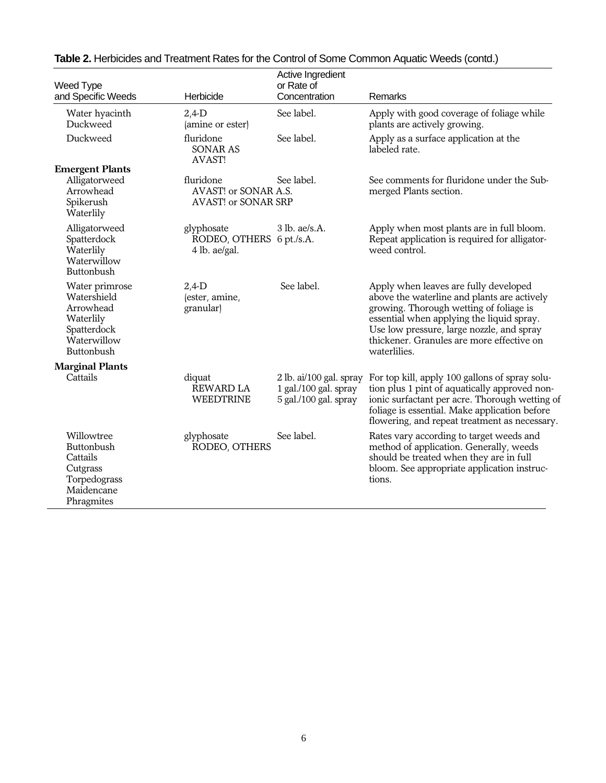| Weed Type<br>and Specific Weeds                                                                     | Herbicide                                                       | Active Ingredient<br>or Rate of<br>Concentration                          | Remarks                                                                                                                                                                                                                                                                                |
|-----------------------------------------------------------------------------------------------------|-----------------------------------------------------------------|---------------------------------------------------------------------------|----------------------------------------------------------------------------------------------------------------------------------------------------------------------------------------------------------------------------------------------------------------------------------------|
| Water hyacinth<br>Duckweed                                                                          | $2,4$ -D<br>(amine or ester)                                    | See label.                                                                | Apply with good coverage of foliage while<br>plants are actively growing.                                                                                                                                                                                                              |
| Duckweed                                                                                            | fluridone<br><b>SONAR AS</b><br><b>AVAST!</b>                   | See label.                                                                | Apply as a surface application at the<br>labeled rate.                                                                                                                                                                                                                                 |
| <b>Emergent Plants</b><br>Alligatorweed<br>Arrowhead<br>Spikerush<br>Waterlily                      | fluridone<br>AVAST! or SONAR A.S.<br><b>AVAST! or SONAR SRP</b> | See label.                                                                | See comments for fluridone under the Sub-<br>merged Plants section.                                                                                                                                                                                                                    |
| Alligatorweed<br>Spatterdock<br>Waterlily<br>Waterwillow<br>Buttonbush                              | glyphosate<br>RODEO, OTHERS 6 pt./s.A.<br>4 lb. ae/gal.         | $3$ lb. ae/s.A.                                                           | Apply when most plants are in full bloom.<br>Repeat application is required for alligator-<br>weed control.                                                                                                                                                                            |
| Water primrose<br>Watershield<br>Arrowhead<br>Waterlily<br>Spatterdock<br>Waterwillow<br>Buttonbush | $2,4$ -D<br>(ester, amine,<br>granular)                         | See label.                                                                | Apply when leaves are fully developed<br>above the waterline and plants are actively<br>growing. Thorough wetting of foliage is<br>essential when applying the liquid spray.<br>Use low pressure, large nozzle, and spray<br>thickener. Granules are more effective on<br>waterlilies. |
| <b>Marginal Plants</b>                                                                              |                                                                 |                                                                           |                                                                                                                                                                                                                                                                                        |
| Cattails                                                                                            | diquat<br>REWARD LA<br><b>WEEDTRINE</b>                         | 2 lb. ai/100 gal. spray<br>1 gal./100 gal. spray<br>5 gal./100 gal. spray | For top kill, apply 100 gallons of spray solu-<br>tion plus 1 pint of aquatically approved non-<br>ionic surfactant per acre. Thorough wetting of<br>foliage is essential. Make application before<br>flowering, and repeat treatment as necessary.                                    |
| Willowtree<br>Buttonbush<br>Cattails<br>Cutgrass<br>Torpedograss<br>Maidencane<br>Phragmites        | glyphosate<br>RODEO, OTHERS                                     | See label.                                                                | Rates vary according to target weeds and<br>method of application. Generally, weeds<br>should be treated when they are in full<br>bloom. See appropriate application instruc-<br>tions.                                                                                                |

# **Table 2.** Herbicides and Treatment Rates for the Control of Some Common Aquatic Weeds (contd.)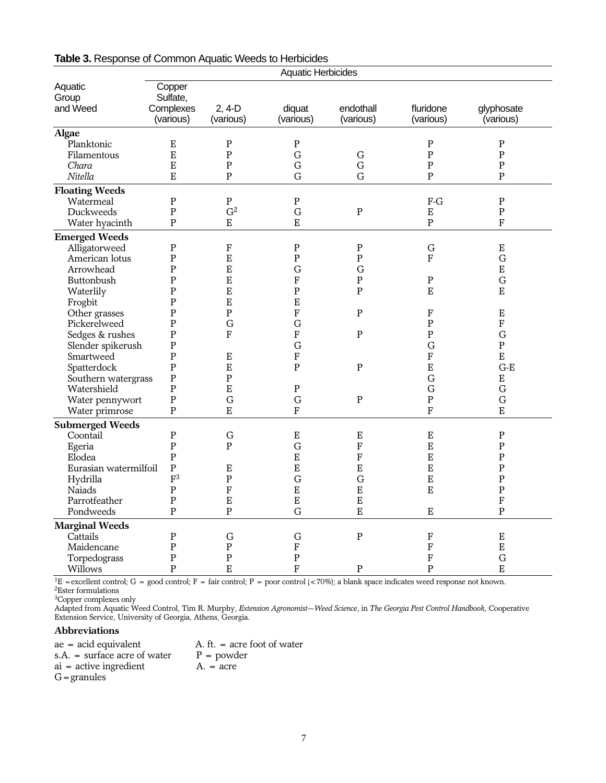|                         |                                |                            | <b>Aquatic Herbicides</b> |                     |                          |                               |
|-------------------------|--------------------------------|----------------------------|---------------------------|---------------------|--------------------------|-------------------------------|
| Aquatic                 | Copper                         |                            |                           |                     |                          |                               |
| Group                   | Sulfate,                       |                            |                           |                     |                          |                               |
| and Weed                | Complexes                      | $2, 4-D$                   | diquat                    | endothall           | fluridone                | glyphosate                    |
|                         | (various)                      | (various)                  | (various)                 | (various)           | (various)                | (various)                     |
| <b>Algae</b>            |                                |                            |                           |                     |                          |                               |
| Planktonic              | E                              | ${\bf P}$                  | ${\bf P}$                 |                     | ${\bf P}$                | $\mathbf P$                   |
| Filamentous             | $\overline{E}$                 | ${\bf P}$                  | G                         | ${\bf G}$           | ${\bf P}$                | ${\bf P}$                     |
| Chara                   | $\mathbf E$                    | ${\bf P}$                  | G                         | G                   | ${\bf P}$                | $\mathbf P$                   |
| Nitella                 | E                              | $\mathbf{P}$               | G                         | $\mathbf G$         | ${\bf P}$                | $\overline{P}$                |
| <b>Floating Weeds</b>   |                                |                            |                           |                     |                          |                               |
| Watermeal               | $\mathbf P$                    | ${\bf P}$                  | ${\bf P}$                 |                     | $F-G$                    | ${\bf P}$                     |
| Duckweeds               | $\mathbf{P}$                   | G <sup>2</sup>             | $\mathbf G$               | ${\bf P}$           | E                        | ${\bf P}$                     |
| Water hyacinth          | $\mathbf{P}$                   | ${\bf E}$                  | E                         |                     | $\mathbf{P}$             | $\mathbf{F}$                  |
| <b>Emerged Weeds</b>    |                                |                            |                           |                     |                          |                               |
| Alligatorweed           | $\mathbf P$                    | ${\bf F}$                  | ${\bf P}$                 | ${\bf P}$           | ${\bf G}$                | ${\bf E}$                     |
| American lotus          | $\mathbf P$                    | E                          | ${\bf P}$                 | ${\bf P}$           | $\overline{F}$           | G                             |
| Arrowhead               | $\mathbf P$                    | E                          | G                         | G                   |                          | ${\bf E}$                     |
| <b>Buttonbush</b>       | $\mathbf{P}$                   | E                          | ${\bf F}$                 | $\mathbf P$         | ${\bf P}$                | $\mathbf G$                   |
| Waterlily               | $\mathbf P$                    | ${\bf E}$                  | ${\bf P}$                 | $\mathbf{P}$        | E                        | $\mathbf E$                   |
| Frogbit                 | $\mathbf P$                    | E                          | E                         |                     |                          |                               |
| Other grasses           | $\mathbf P$                    | ${\bf P}$                  | $\mathbf{F}$              | P                   | F                        | Ε                             |
| Pickerelweed            | $\mathbf{P}$                   | G                          | G                         |                     | $\mathbf P$              | $\overline{F}$                |
| Sedges & rushes         | $\mathbf P$                    | F                          | $\mathbf F$               | ${\bf P}$           | ${\bf P}$                | $\mathbf G$                   |
| Slender spikerush       | $\mathbf P$                    |                            | G                         |                     | $\mathbf G$              | ${\bf P}$                     |
| Smartweed               | $\mathbf{P}$                   | $\mathbf E$                | ${\bf F}$                 |                     | ${\bf F}$                | $\mathbf E$                   |
| Spatterdock             | $\mathbf{P}$                   | E                          | $\mathbf{P}$              | ${\bf P}$           | E                        | $G-E$                         |
| Southern watergrass     | $\mathbf P$                    | ${\bf P}$                  |                           |                     | G                        | ${\bf E}$                     |
| Watershield             | $\mathbf{P}$                   | E                          | $\mathbf{P}$              |                     | G                        | $\mathbf G$                   |
| Water pennywort         | $\mathbf{P}$<br>$\mathbf{P}$   | $\mathbf G$<br>$\mathbf E$ | $\mathbf G$<br>${\bf F}$  | ${\bf P}$           | ${\bf P}$<br>${\bf F}$   | $\mathbf G$<br>$\overline{E}$ |
| Water primrose          |                                |                            |                           |                     |                          |                               |
| <b>Submerged Weeds</b>  |                                |                            |                           |                     |                          |                               |
| Coontail                | $\mathbf P$                    | $\mathbf G$                | ${\bf E}$                 | ${\bf E}$           | ${\bf E}$                | ${\bf P}$                     |
| Egeria                  | $\mathbf{P}$                   | $\mathbf{P}$               | G                         | ${\bf F}$           | ${\bf E}$                | ${\bf P}$                     |
| Elodea                  | $\mathbf{P}$                   |                            | $\overline{E}$            | $\mathbf F$         | E                        | $\mathbf{P}$                  |
| Eurasian watermilfoil   | $\mathbf{P}$<br>$\mathbf{F}^3$ | ${\bf E}$                  | $\overline{E}$            | ${\bf E}$           | E                        | ${\bf P}$                     |
| Hydrilla<br>Naiads      | ${\bf P}$                      | ${\bf P}$<br>$\mathbf F$   | G<br>$\overline{E}$       | G<br>$\overline{E}$ | E<br>E                   | $\mathbf P$<br>$\mathbf{P}$   |
| Parrotfeather           | $\mathbf P$                    | ${\bf E}$                  | $\mathbf E$               | ${\bf E}$           |                          | ${\bf F}$                     |
| Pondweeds               | $\overline{P}$                 | $\overline{P}$             | G                         | $\overline{E}$      | E                        | $\overline{P}$                |
|                         |                                |                            |                           |                     |                          |                               |
| <b>Marginal Weeds</b>   |                                |                            |                           |                     |                          |                               |
| Cattails                | $\, {\bf P}$                   | $\mathbf G$                | $\mathbf G$               | $\overline{P}$      | ${\bf F}$                | ${\bf E}$                     |
| Maidencane              | $\mathbf P$<br>$\mathbf{P}$    | ${\bf P}$<br>${\bf P}$     | $\rm F$<br>$\mathbf{P}$   |                     | ${\bf F}$                | $\mathbf E$<br>$\mathbf G$    |
| Torpedograss<br>Willows | $\mathbf{P}$                   | ${\bf E}$                  |                           |                     | $\mathbf F$<br>${\bf P}$ | E                             |
|                         |                                |                            | $\rm F$                   | $\mathbf P$         |                          |                               |

# **Table 3.** Response of Common Aquatic Weeds to Herbicides

<sup>1</sup>E = excellent control; G = good control; F = fair control; P = poor control (<70%); a blank space indicates weed response not known.  $2$ Ester formulations<br> $3$ Copper complexes only

Adapted from Aquatic Weed Control, Tim R. Murphy, *Extension Agronomist*—*Weed Science*, in *The Georgia Pest Control Handbook,* Cooperative Extension Service, University of Georgia, Athens, Georgia.

#### **Abbreviations**

ae = acid equivalent  $A. ft. = acre foot of water$ <br>  $B = powder$  $s.A. = surface acre of water$   $P = powd$ <br>ai = active ingredient  $A. = acre$  $ai = active ingredient$  $G =$ granules